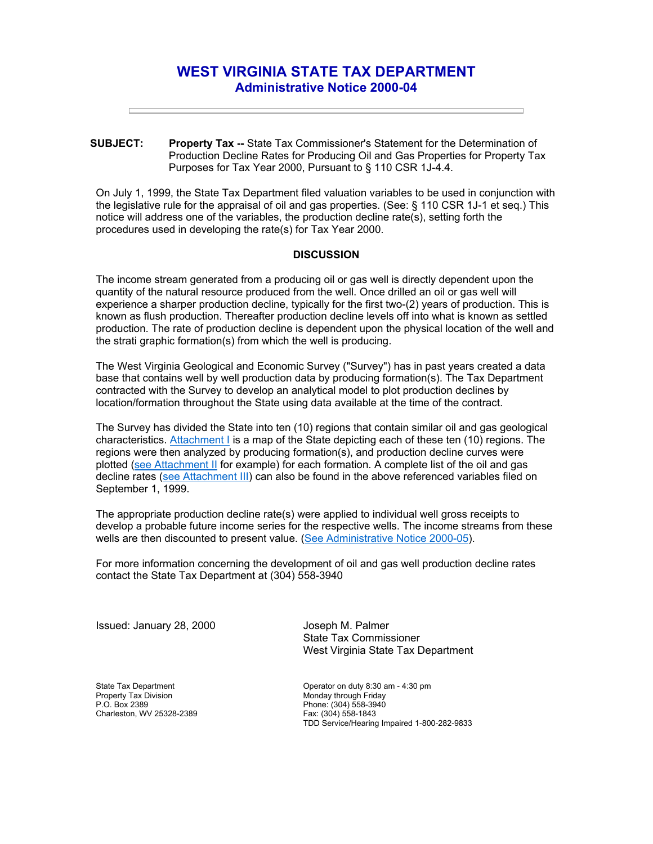## **WEST VIRGINIA STATE TAX DEPARTMENT Administrative Notice 2000-04**

**SUBJECT: Property Tax --** State Tax Commissioner's Statement for the Determination of Production Decline Rates for Producing Oil and Gas Properties for Property Tax Purposes for Tax Year 2000, Pursuant to § 110 CSR 1J-4.4.

On July 1, 1999, the State Tax Department filed valuation variables to be used in conjunction with the legislative rule for the appraisal of oil and gas properties. (See: § 110 CSR 1J-1 et seq.) This notice will address one of the variables, the production decline rate(s), setting forth the procedures used in developing the rate(s) for Tax Year 2000.

## **DISCUSSION**

The income stream generated from a producing oil or gas well is directly dependent upon the quantity of the natural resource produced from the well. Once drilled an oil or gas well will experience a sharper production decline, typically for the first two-(2) years of production. This is known as flush production. Thereafter production decline levels off into what is known as settled production. The rate of production decline is dependent upon the physical location of the well and the strati graphic formation(s) from which the well is producing.

The West Virginia Geological and Economic Survey ("Survey") has in past years created a data base that contains well by well production data by producing formation(s). The Tax Department contracted with the Survey to develop an analytical model to plot production declines by location/formation throughout the State using data available at the time of the contract.

The Survey has divided the State into ten (10) regions that contain similar oil and gas geological characteristics. Attachment I is a map of the State depicting each of these ten (10) regions. The regions were then analyzed by producing formation(s), and production decline curves were plotted (see Attachment II for example) for each formation. A complete list of the oil and gas decline rates (see Attachment III) can also be found in the above referenced variables filed on September 1, 1999.

The appropriate production decline rate(s) were applied to individual well gross receipts to develop a probable future income series for the respective wells. The income streams from these wells are then discounted to present value. (See Administrative Notice 2000-05).

For more information concerning the development of oil and gas well production decline rates contact the State Tax Department at (304) 558-3940

Issued: January 28, 2000 Joseph M. Palmer

State Tax Commissioner West Virginia State Tax Department

State Tax Department Property Tax Division P.O. Box 2389 Charleston, WV 25328-2389

Operator on duty 8:30 am - 4:30 pm Monday through Friday Phone: (304) 558-3940 Fax: (304) 558-1843 TDD Service/Hearing Impaired 1-800-282-9833